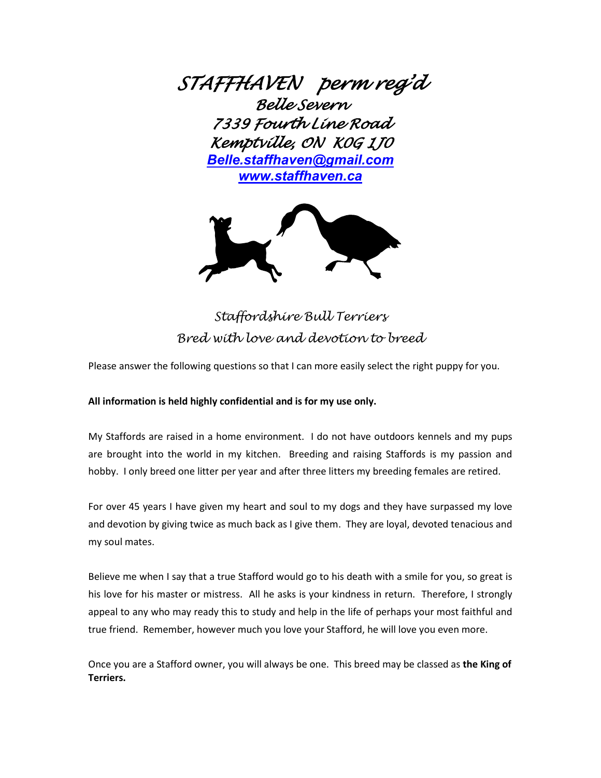*STAFFHAVEN perm reg'd Belle Severn 7339 Fourth Line Road Kemptville, ON K0G 1J0 [Belle.staffhaven@gmail.com](mailto:Belle.staffhaven@gmail.com) [www.staffhaven.ca](http://www.staffhaven.ca/)*



*Staffordshire Bull Terriers Bred with love and devotion to breed*

Please answer the following questions so that I can more easily select the right puppy for you.

## **All information is held highly confidential and is for my use only.**

My Staffords are raised in a home environment. I do not have outdoors kennels and my pups are brought into the world in my kitchen. Breeding and raising Staffords is my passion and hobby. I only breed one litter per year and after three litters my breeding females are retired.

For over 45 years I have given my heart and soul to my dogs and they have surpassed my love and devotion by giving twice as much back as I give them. They are loyal, devoted tenacious and my soul mates.

Believe me when I say that a true Stafford would go to his death with a smile for you, so great is his love for his master or mistress. All he asks is your kindness in return. Therefore, I strongly appeal to any who may ready this to study and help in the life of perhaps your most faithful and true friend. Remember, however much you love your Stafford, he will love you even more.

Once you are a Stafford owner, you will always be one. This breed may be classed as **the King of Terriers.**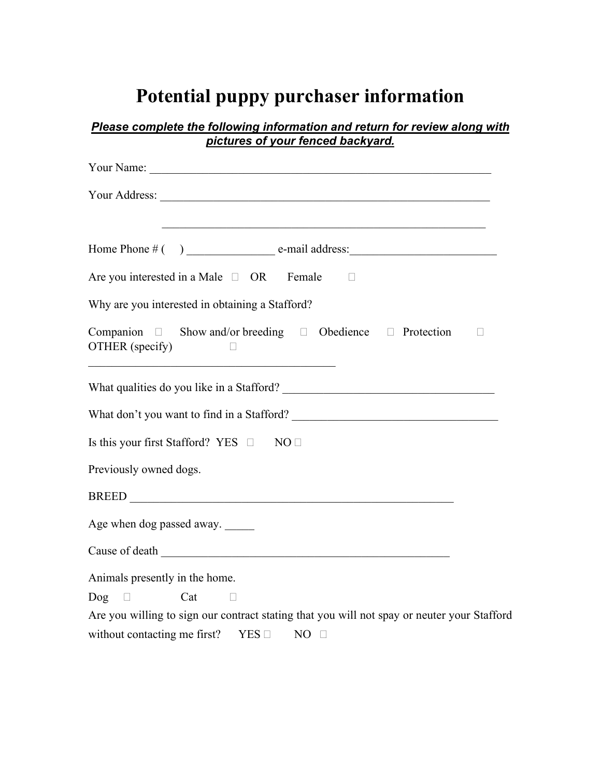## **Potential puppy purchaser information**

| <u> 1989 - Johann Stoff, amerikansk politiker (d. 1989)</u>                                                                                                                                                                             |  |
|-----------------------------------------------------------------------------------------------------------------------------------------------------------------------------------------------------------------------------------------|--|
| Are you interested in a Male $\Box$ OR Female $\Box$                                                                                                                                                                                    |  |
| Why are you interested in obtaining a Stafford?                                                                                                                                                                                         |  |
| Companion $\square$ Show and/or breeding $\square$ Obedience $\square$ Protection<br>OTHER (specify)<br>$\Box$<br><u> 1989 - Johann Barbara, martin amerikan basal dan berasal dalam basal dalam basal dalam basal dalam basal dala</u> |  |
|                                                                                                                                                                                                                                         |  |
|                                                                                                                                                                                                                                         |  |
|                                                                                                                                                                                                                                         |  |
|                                                                                                                                                                                                                                         |  |
|                                                                                                                                                                                                                                         |  |
|                                                                                                                                                                                                                                         |  |
|                                                                                                                                                                                                                                         |  |
|                                                                                                                                                                                                                                         |  |
| Is this your first Stafford? YES $\Box$ NO $\Box$<br>Previously owned dogs.<br>Age when dog passed away.<br>Cause of death<br>Animals presently in the home.                                                                            |  |